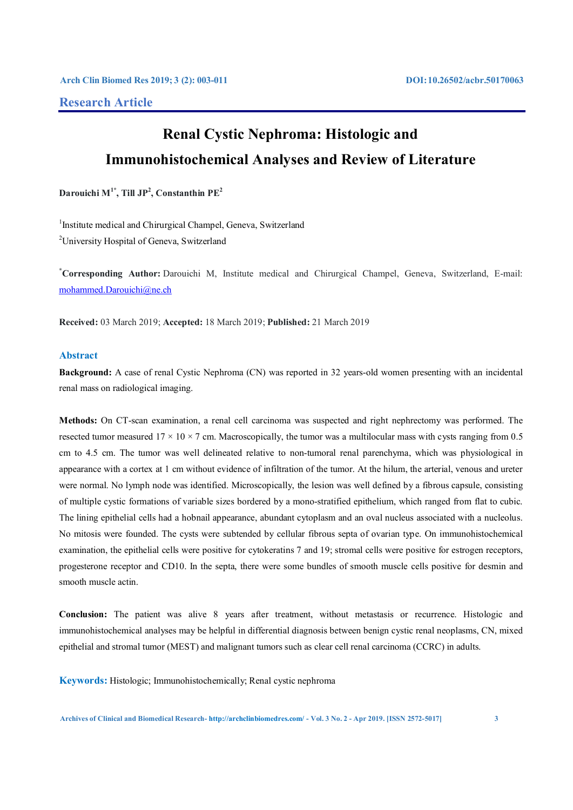# **Research Article**

# **Renal Cystic Nephroma: Histologic and Immunohistochemical Analyses and Review of Literature**

 $\mathbf{D}$ arouichi M $^{1^*}$ , Till JP<sup>2</sup>, Constanthin PE<sup>2</sup>

<sup>1</sup>Institute medical and Chirurgical Champel, Geneva, Switzerland <sup>2</sup>University Hospital of Geneva, Switzerland

**\* Corresponding Author:** Darouichi M, Institute medical and Chirurgical Champel, Geneva, Switzerland, E-mail: mohammed.Darouichi@ne.ch

**Received:** 03 March 2019; **Accepted:** 18 March 2019; **Published:** 21 March 2019

# **Abstract**

**Background:** A case of renal Cystic Nephroma (CN) was reported in 32 years-old women presenting with an incidental renal mass on radiological imaging.

**Methods:** On CT-scan examination, a renal cell carcinoma was suspected and right nephrectomy was performed. The resected tumor measured  $17 \times 10 \times 7$  cm. Macroscopically, the tumor was a multilocular mass with cysts ranging from 0.5 cm to 4.5 cm. The tumor was well delineated relative to non-tumoral renal parenchyma, which was physiological in appearance with a cortex at 1 cm without evidence of infiltration of the tumor. At the hilum, the arterial, venous and ureter were normal. No lymph node was identified. Microscopically, the lesion was well defined by a fibrous capsule, consisting of multiple cystic formations of variable sizes bordered by a mono-stratified epithelium, which ranged from flat to cubic. The lining epithelial cells had a hobnail appearance, abundant cytoplasm and an oval nucleus associated with a nucleolus. No mitosis were founded. The cysts were subtended by cellular fibrous septa of ovarian type. On immunohistochemical examination, the epithelial cells were positive for cytokeratins 7 and 19; stromal cells were positive for estrogen receptors, progesterone receptor and CD10. In the septa, there were some bundles of smooth muscle cells positive for desmin and smooth muscle actin.

**Conclusion:** The patient was alive 8 years after treatment, without metastasis or recurrence. Histologic and immunohistochemical analyses may be helpful in differential diagnosis between benign cystic renal neoplasms, CN, mixed epithelial and stromal tumor (MEST) and malignant tumors such as clear cell renal carcinoma (CCRC) in adults.

**Keywords:** Histologic; Immunohistochemically; Renal cystic nephroma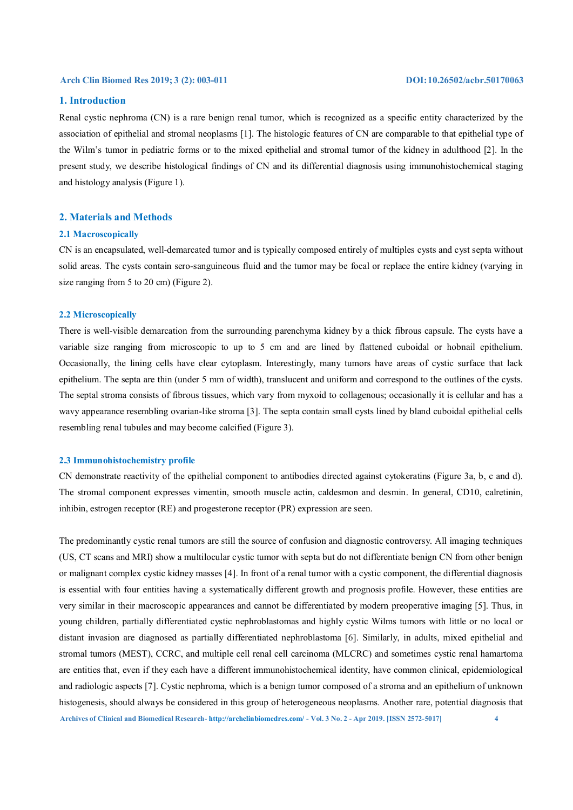# **1. Introduction**

Renal cystic nephroma (CN) is a rare benign renal tumor, which is recognized as a specific entity characterized by the association of epithelial and stromal neoplasms [1]. The histologic features of CN are comparable to that epithelial type of the Wilm's tumor in pediatric forms or to the mixed epithelial and stromal tumor of the kidney in adulthood [2]. In the present study, we describe histological findings of CN and its differential diagnosis using immunohistochemical staging and histology analysis (Figure 1).

# **2. Materials and Methods**

#### **2.1 Macroscopically**

CN is an encapsulated, well-demarcated tumor and is typically composed entirely of multiples cysts and cyst septa without solid areas. The cysts contain sero-sanguineous fluid and the tumor may be focal or replace the entire kidney (varying in size ranging from 5 to 20 cm) (Figure 2).

#### **2.2 Microscopically**

There is well-visible demarcation from the surrounding parenchyma kidney by a thick fibrous capsule. The cysts have a variable size ranging from microscopic to up to 5 cm and are lined by flattened cuboidal or hobnail epithelium. Occasionally, the lining cells have clear cytoplasm. Interestingly, many tumors have areas of cystic surface that lack epithelium. The septa are thin (under 5 mm of width), translucent and uniform and correspond to the outlines of the cysts. The septal stroma consists of fibrous tissues, which vary from myxoid to collagenous; occasionally it is cellular and has a wavy appearance resembling ovarian-like stroma [3]. The septa contain small cysts lined by bland cuboidal epithelial cells resembling renal tubules and may become calcified (Figure 3).

#### **2.3 Immunohistochemistry profile**

CN demonstrate reactivity of the epithelial component to antibodies directed against cytokeratins (Figure 3a, b, c and d). The stromal component expresses vimentin, smooth muscle actin, caldesmon and desmin. In general, CD10, calretinin, inhibin, estrogen receptor (RE) and progesterone receptor (PR) expression are seen.

**Archives of Clinical and Biomedical Research- http://archclinbiomedres.com/ - Vol. 3 No. 2 - Apr 2019. [ISSN 2572-5017] 4** The predominantly cystic renal tumors are still the source of confusion and diagnostic controversy. All imaging techniques (US, CT scans and MRI) show a multilocular cystic tumor with septa but do not differentiate benign CN from other benign or malignant complex cystic kidney masses [4]. In front of a renal tumor with a cystic component, the differential diagnosis is essential with four entities having a systematically different growth and prognosis profile. However, these entities are very similar in their macroscopic appearances and cannot be differentiated by modern preoperative imaging [5]. Thus, in young children, partially differentiated cystic nephroblastomas and highly cystic Wilms tumors with little or no local or distant invasion are diagnosed as partially differentiated nephroblastoma [6]. Similarly, in adults, mixed epithelial and stromal tumors (MEST), CCRC, and multiple cell renal cell carcinoma (MLCRC) and sometimes cystic renal hamartoma are entities that, even if they each have a different immunohistochemical identity, have common clinical, epidemiological and radiologic aspects [7]. Cystic nephroma, which is a benign tumor composed of a stroma and an epithelium of unknown histogenesis, should always be considered in this group of heterogeneous neoplasms. Another rare, potential diagnosis that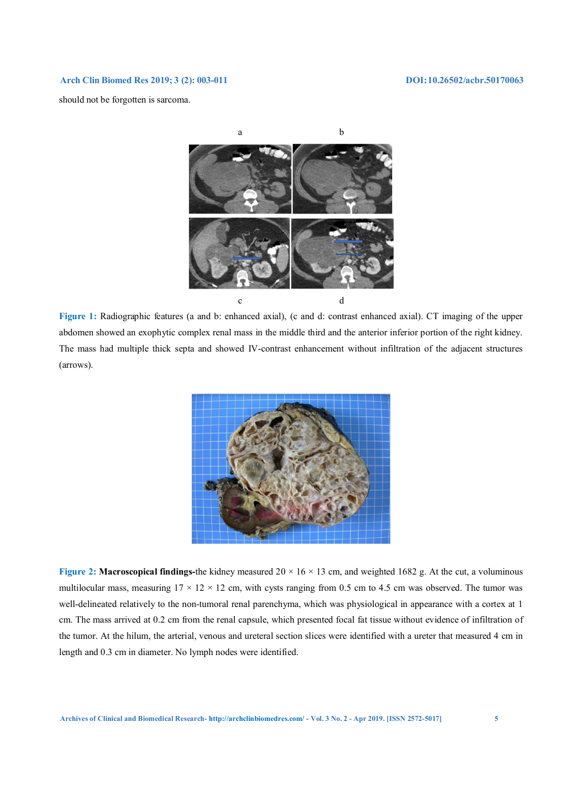should not be forgotten is sarcoma.



**Figure 1:** Radiographic features (a and b: enhanced axial), (c and d: contrast enhanced axial). CT imaging of the upper abdomen showed an exophytic complex renal mass in the middle third and the anterior inferior portion of the right kidney. The mass had multiple thick septa and showed IV-contrast enhancement without infiltration of the adjacent structures (arrows).



**Figure 2: Macroscopical findings-**the kidney measured 20 × 16 × 13 cm, and weighted 1682 g. At the cut, a voluminous multilocular mass, measuring  $17 \times 12 \times 12$  cm, with cysts ranging from 0.5 cm to 4.5 cm was observed. The tumor was well-delineated relatively to the non-tumoral renal parenchyma, which was physiological in appearance with a cortex at 1 cm. The mass arrived at 0.2 cm from the renal capsule, which presented focal fat tissue without evidence of infiltration of the tumor. At the hilum, the arterial, venous and ureteral section slices were identified with a ureter that measured 4 cm in length and 0.3 cm in diameter. No lymph nodes were identified.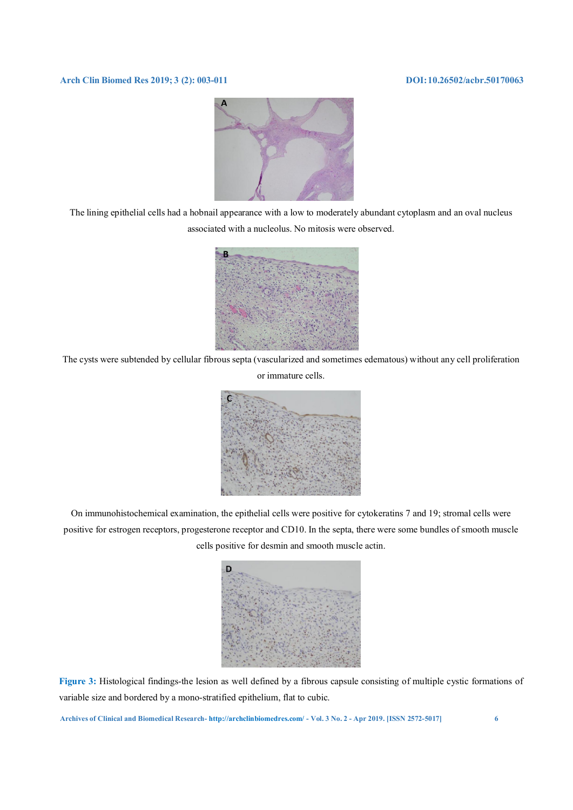

The lining epithelial cells had a hobnail appearance with a low to moderately abundant cytoplasm and an oval nucleus associated with a nucleolus. No mitosis were observed.



The cysts were subtended by cellular fibrous septa (vascularized and sometimes edematous) without any cell proliferation



On immunohistochemical examination, the epithelial cells were positive for cytokeratins 7 and 19; stromal cells were positive for estrogen receptors, progesterone receptor and CD10. In the septa, there were some bundles of smooth muscle cells positive for desmin and smooth muscle actin.



**Figure 3:** Histological findings-the lesion as well defined by a fibrous capsule consisting of multiple cystic formations of variable size and bordered by a mono-stratified epithelium, flat to cubic.

**Archives of Clinical and Biomedical Research- http://archclinbiomedres.com/ - Vol. 3 No. 2 - Apr 2019. [ISSN 2572-5017] 6**

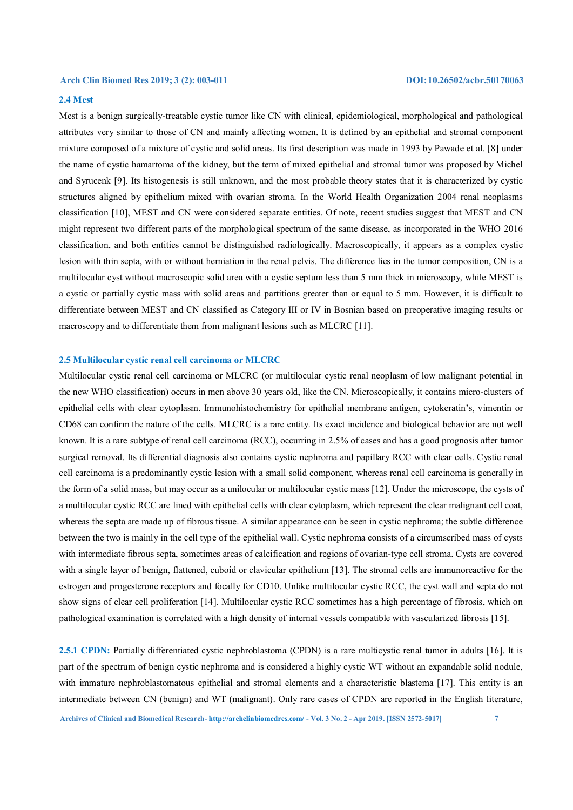# **2.4 Mest**

Mest is a benign surgically-treatable cystic tumor like CN with clinical, epidemiological, morphological and pathological attributes very similar to those of CN and mainly affecting women. It is defined by an epithelial and stromal component mixture composed of a mixture of cystic and solid areas. Its first description was made in 1993 by Pawade et al. [8] under the name of cystic hamartoma of the kidney, but the term of mixed epithelial and stromal tumor was proposed by Michel and Syrucenk [9]. Its histogenesis is still unknown, and the most probable theory states that it is characterized by cystic structures aligned by epithelium mixed with ovarian stroma. In the World Health Organization 2004 renal neoplasms classification [10], MEST and CN were considered separate entities. Of note, recent studies suggest that MEST and CN might represent two different parts of the morphological spectrum of the same disease, as incorporated in the WHO 2016 classification, and both entities cannot be distinguished radiologically. Macroscopically, it appears as a complex cystic lesion with thin septa, with or without herniation in the renal pelvis. The difference lies in the tumor composition, CN is a multilocular cyst without macroscopic solid area with a cystic septum less than 5 mm thick in microscopy, while MEST is a cystic or partially cystic mass with solid areas and partitions greater than or equal to 5 mm. However, it is difficult to differentiate between MEST and CN classified as Category III or IV in Bosnian based on preoperative imaging results or macroscopy and to differentiate them from malignant lesions such as MLCRC [11].

### **2.5 Multilocular cystic renal cell carcinoma or MLCRC**

Multilocular cystic renal cell carcinoma or MLCRC (or multilocular cystic renal neoplasm of low malignant potential in the new WHO classification) occurs in men above 30 years old, like the CN. Microscopically, it contains micro-clusters of epithelial cells with clear cytoplasm. Immunohistochemistry for epithelial membrane antigen, cytokeratin's, vimentin or CD68 can confirm the nature of the cells. MLCRC is a rare entity. Its exact incidence and biological behavior are not well known. It is a rare subtype of renal cell carcinoma (RCC), occurring in 2.5% of cases and has a good prognosis after tumor surgical removal. Its differential diagnosis also contains cystic nephroma and papillary RCC with clear cells. Cystic renal cell carcinoma is a predominantly cystic lesion with a small solid component, whereas renal cell carcinoma is generally in the form of a solid mass, but may occur as a unilocular or multilocular cystic mass [12]. Under the microscope, the cysts of a multilocular cystic RCC are lined with epithelial cells with clear cytoplasm, which represent the clear malignant cell coat, whereas the septa are made up of fibrous tissue. A similar appearance can be seen in cystic nephroma; the subtle difference between the two is mainly in the cell type of the epithelial wall. Cystic nephroma consists of a circumscribed mass of cysts with intermediate fibrous septa, sometimes areas of calcification and regions of ovarian-type cell stroma. Cysts are covered with a single layer of benign, flattened, cuboid or clavicular epithelium [13]. The stromal cells are immunoreactive for the estrogen and progesterone receptors and focally for CD10. Unlike multilocular cystic RCC, the cyst wall and septa do not show signs of clear cell proliferation [14]. Multilocular cystic RCC sometimes has a high percentage of fibrosis, which on pathological examination is correlated with a high density of internal vessels compatible with vascularized fibrosis [15].

**2.5.1 CPDN:** Partially differentiated cystic nephroblastoma (CPDN) is a rare multicystic renal tumor in adults [16]. It is part of the spectrum of benign cystic nephroma and is considered a highly cystic WT without an expandable solid nodule, with immature nephroblastomatous epithelial and stromal elements and a characteristic blastema [17]. This entity is an intermediate between CN (benign) and WT (malignant). Only rare cases of CPDN are reported in the English literature,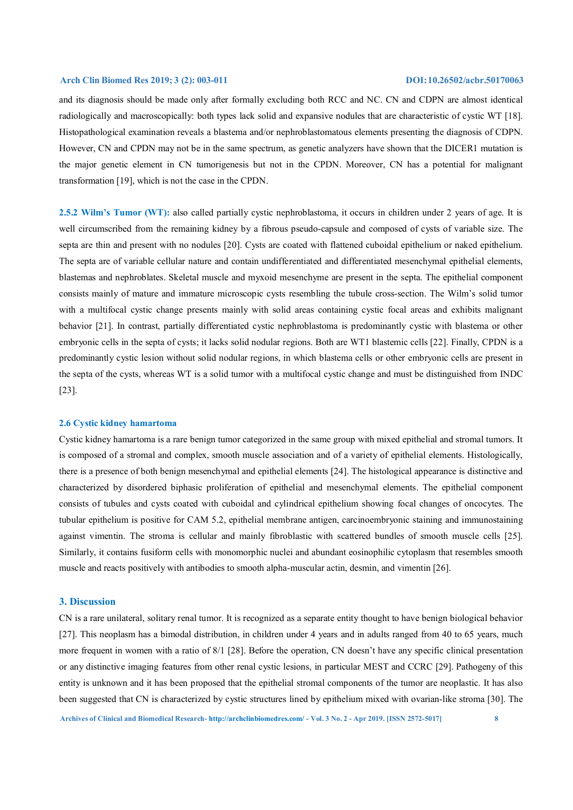and its diagnosis should be made only after formally excluding both RCC and NC. CN and CDPN are almost identical radiologically and macroscopically: both types lack solid and expansive nodules that are characteristic of cystic WT [18]. Histopathological examination reveals a blastema and/or nephroblastomatous elements presenting the diagnosis of CDPN. However, CN and CPDN may not be in the same spectrum, as genetic analyzers have shown that the DICER1 mutation is the major genetic element in CN tumorigenesis but not in the CPDN. Moreover, CN has a potential for malignant transformation [19], which is not the case in the CPDN.

**2.5.2 Wilm's Tumor (WT):** also called partially cystic nephroblastoma, it occurs in children under 2 years of age. It is well circumscribed from the remaining kidney by a fibrous pseudo-capsule and composed of cysts of variable size. The septa are thin and present with no nodules [20]. Cysts are coated with flattened cuboidal epithelium or naked epithelium. The septa are of variable cellular nature and contain undifferentiated and differentiated mesenchymal epithelial elements, blastemas and nephroblates. Skeletal muscle and myxoid mesenchyme are present in the septa. The epithelial component consists mainly of mature and immature microscopic cysts resembling the tubule cross-section. The Wilm's solid tumor with a multifocal cystic change presents mainly with solid areas containing cystic focal areas and exhibits malignant behavior [21]. In contrast, partially differentiated cystic nephroblastoma is predominantly cystic with blastema or other embryonic cells in the septa of cysts; it lacks solid nodular regions. Both are WT1 blastemic cells [22]. Finally, CPDN is a predominantly cystic lesion without solid nodular regions, in which blastema cells or other embryonic cells are present in the septa of the cysts, whereas WT is a solid tumor with a multifocal cystic change and must be distinguished from INDC [23].

#### **2.6 Cystic kidney hamartoma**

Cystic kidney hamartoma is a rare benign tumor categorized in the same group with mixed epithelial and stromal tumors. It is composed of a stromal and complex, smooth muscle association and of a variety of epithelial elements. Histologically, there is a presence of both benign mesenchymal and epithelial elements [24]. The histological appearance is distinctive and characterized by disordered biphasic proliferation of epithelial and mesenchymal elements. The epithelial component consists of tubules and cysts coated with cuboidal and cylindrical epithelium showing focal changes of oncocytes. The tubular epithelium is positive for CAM 5.2, epithelial membrane antigen, carcinoembryonic staining and immunostaining against vimentin. The stroma is cellular and mainly fibroblastic with scattered bundles of smooth muscle cells [25]. Similarly, it contains fusiform cells with monomorphic nuclei and abundant eosinophilic cytoplasm that resembles smooth muscle and reacts positively with antibodies to smooth alpha-muscular actin, desmin, and vimentin [26].

#### **3. Discussion**

CN is a rare unilateral, solitary renal tumor. It is recognized as a separate entity thought to have benign biological behavior [27]. This neoplasm has a bimodal distribution, in children under 4 years and in adults ranged from 40 to 65 years, much more frequent in women with a ratio of 8/1 [28]. Before the operation, CN doesn't have any specific clinical presentation or any distinctive imaging features from other renal cystic lesions, in particular MEST and CCRC [29]. Pathogeny of this entity is unknown and it has been proposed that the epithelial stromal components of the tumor are neoplastic. It has also been suggested that CN is characterized by cystic structures lined by epithelium mixed with ovarian-like stroma [30]. The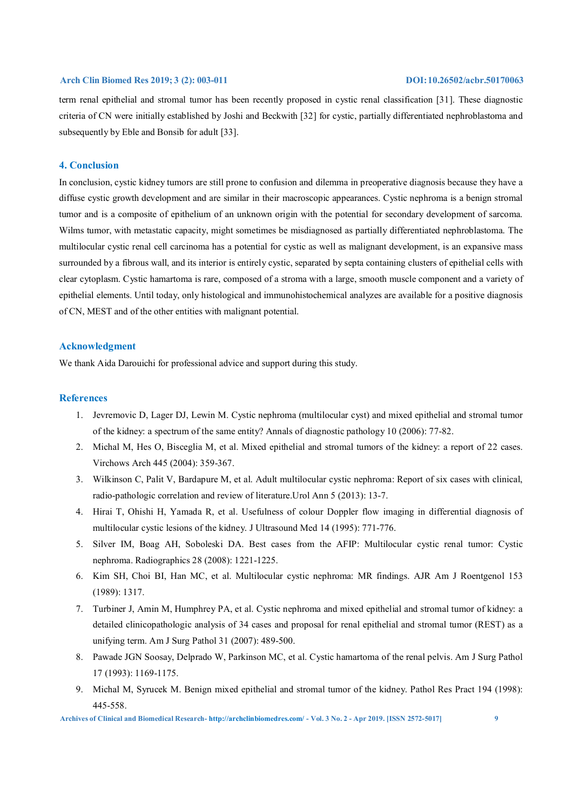term renal epithelial and stromal tumor has been recently proposed in cystic renal classification [31]. These diagnostic criteria of CN were initially established by Joshi and Beckwith [32] for cystic, partially differentiated nephroblastoma and subsequently by Eble and Bonsib for adult [33].

# **4. Conclusion**

In conclusion, cystic kidney tumors are still prone to confusion and dilemma in preoperative diagnosis because they have a diffuse cystic growth development and are similar in their macroscopic appearances. Cystic nephroma is a benign stromal tumor and is a composite of epithelium of an unknown origin with the potential for secondary development of sarcoma. Wilms tumor, with metastatic capacity, might sometimes be misdiagnosed as partially differentiated nephroblastoma. The multilocular cystic renal cell carcinoma has a potential for cystic as well as malignant development, is an expansive mass surrounded by a fibrous wall, and its interior is entirely cystic, separated by septa containing clusters of epithelial cells with clear cytoplasm. Cystic hamartoma is rare, composed of a stroma with a large, smooth muscle component and a variety of epithelial elements. Until today, only histological and immunohistochemical analyzes are available for a positive diagnosis of CN, MEST and of the other entities with malignant potential.

# **Acknowledgment**

We thank Aida Darouichi for professional advice and support during this study.

# **References**

- 1. Jevremovic D, Lager DJ, Lewin M. Cystic nephroma (multilocular cyst) and mixed epithelial and stromal tumor of the kidney: a spectrum of the same entity? Annals of diagnostic pathology 10 (2006): 77-82.
- 2. Michal M, Hes O, Bisceglia M, et al. Mixed epithelial and stromal tumors of the kidney: a report of 22 cases. Virchows Arch 445 (2004): 359-367.
- 3. Wilkinson C, Palit V, Bardapure M, et al. Adult multilocular cystic nephroma: Report of six cases with clinical, radio-pathologic correlation and review of literature.Urol Ann 5 (2013): 13-7.
- 4. Hirai T, Ohishi H, Yamada R, et al. Usefulness of colour Doppler flow imaging in differential diagnosis of multilocular cystic lesions of the kidney. J Ultrasound Med 14 (1995): 771-776.
- 5. Silver IM, Boag AH, Soboleski DA. Best cases from the AFIP: Multilocular cystic renal tumor: Cystic nephroma. Radiographics 28 (2008): 1221-1225.
- 6. Kim SH, Choi BI, Han MC, et al. Multilocular cystic nephroma: MR findings. AJR Am J Roentgenol 153 (1989): 1317.
- 7. Turbiner J, Amin M, Humphrey PA, et al. Cystic nephroma and mixed epithelial and stromal tumor of kidney: a detailed clinicopathologic analysis of 34 cases and proposal for renal epithelial and stromal tumor (REST) as a unifying term. Am J Surg Pathol 31 (2007): 489-500.
- 8. Pawade JGN Soosay, Delprado W, Parkinson MC, et al. Cystic hamartoma of the renal pelvis. Am J Surg Pathol 17 (1993): 1169-1175.
- 9. Michal M, Syrucek M. Benign mixed epithelial and stromal tumor of the kidney. Pathol Res Pract 194 (1998): 445-558.

**Archives of Clinical and Biomedical Research- http://archclinbiomedres.com/ - Vol. 3 No. 2 - Apr 2019. [ISSN 2572-5017] 9**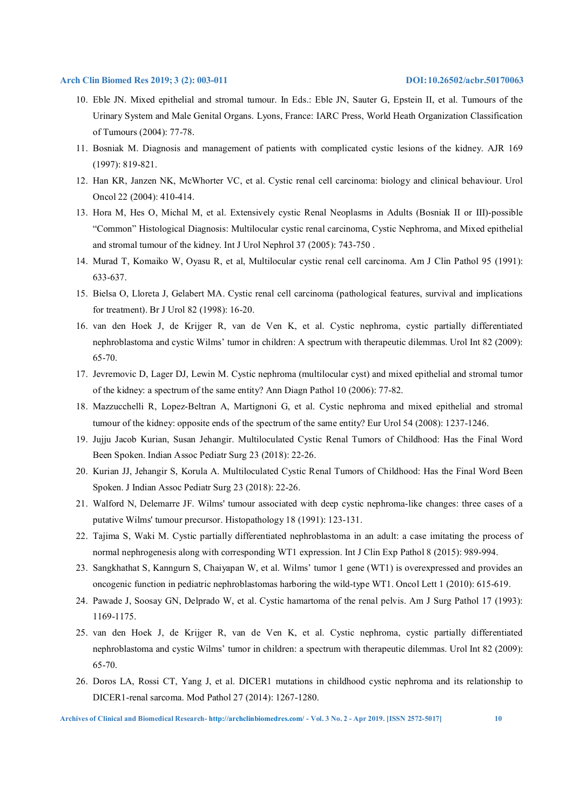- 10. Eble JN. Mixed epithelial and stromal tumour. In Eds.: Eble JN, Sauter G, Epstein II, et al. Tumours of the Urinary System and Male Genital Organs. Lyons, France: IARC Press, World Heath Organization Classification of Tumours (2004): 77-78.
- 11. Bosniak M. Diagnosis and management of patients with complicated cystic lesions of the kidney. AJR 169 (1997): 819-821.
- 12. Han KR, Janzen NK, McWhorter VC, et al. Cystic renal cell carcinoma: biology and clinical behaviour. Urol Oncol 22 (2004): 410-414.
- 13. Hora M, Hes O, Michal M, et al. Extensively cystic Renal Neoplasms in Adults (Bosniak II or III)-possible "Common" Histological Diagnosis: Multilocular cystic renal carcinoma, Cystic Nephroma, and Mixed epithelial and stromal tumour of the kidney. Int J Urol Nephrol 37 (2005): 743-750 .
- 14. Murad T, Komaiko W, Oyasu R, et al, Multilocular cystic renal cell carcinoma. Am J Clin Pathol 95 (1991): 633-637.
- 15. Bielsa O, Lloreta J, Gelabert MA. Cystic renal cell carcinoma (pathological features, survival and implications for treatment). Br J Urol 82 (1998): 16-20.
- 16. van den Hoek J, de Krijger R, van de Ven K, et al. Cystic nephroma, cystic partially differentiated nephroblastoma and cystic Wilms' tumor in children: A spectrum with therapeutic dilemmas. Urol Int 82 (2009): 65-70.
- 17. Jevremovic D, Lager DJ, Lewin M. Cystic nephroma (multilocular cyst) and mixed epithelial and stromal tumor of the kidney: a spectrum of the same entity? Ann Diagn Pathol 10 (2006): 77-82.
- 18. Mazzucchelli R, Lopez-Beltran A, Martignoni G, et al. Cystic nephroma and mixed epithelial and stromal tumour of the kidney: opposite ends of the spectrum of the same entity? Eur Urol 54 (2008): 1237-1246.
- 19. Jujju Jacob Kurian, Susan Jehangir. Multiloculated Cystic Renal Tumors of Childhood: Has the Final Word Been Spoken. Indian Assoc Pediatr Surg 23 (2018): 22-26.
- 20. Kurian JJ, Jehangir S, Korula A. Multiloculated Cystic Renal Tumors of Childhood: Has the Final Word Been Spoken. J Indian Assoc Pediatr Surg 23 (2018): 22-26.
- 21. Walford N, Delemarre JF. Wilms' tumour associated with deep cystic nephroma-like changes: three cases of a putative Wilms' tumour precursor. Histopathology 18 (1991): 123-131.
- 22. Tajima S, Waki M. Cystic partially differentiated nephroblastoma in an adult: a case imitating the process of normal nephrogenesis along with corresponding WT1 expression. Int J Clin Exp Pathol 8 (2015): 989-994.
- 23. Sangkhathat S, Kanngurn S, Chaiyapan W, et al. Wilms' tumor 1 gene (WT1) is overexpressed and provides an oncogenic function in pediatric nephroblastomas harboring the wild-type WT1. Oncol Lett 1 (2010): 615-619.
- 24. Pawade J, Soosay GN, Delprado W, et al. Cystic hamartoma of the renal pelvis. Am J Surg Pathol 17 (1993): 1169-1175.
- 25. van den Hoek J, de Krijger R, van de Ven K, et al. Cystic nephroma, cystic partially differentiated nephroblastoma and cystic Wilms' tumor in children: a spectrum with therapeutic dilemmas. Urol Int 82 (2009): 65-70.
- 26. Doros LA, Rossi CT, Yang J, et al. DICER1 mutations in childhood cystic nephroma and its relationship to DICER1-renal sarcoma. Mod Pathol 27 (2014): 1267-1280.

**Archives of Clinical and Biomedical Research- http://archclinbiomedres.com/ - Vol. 3 No. 2 - Apr 2019. [ISSN 2572-5017] 10**